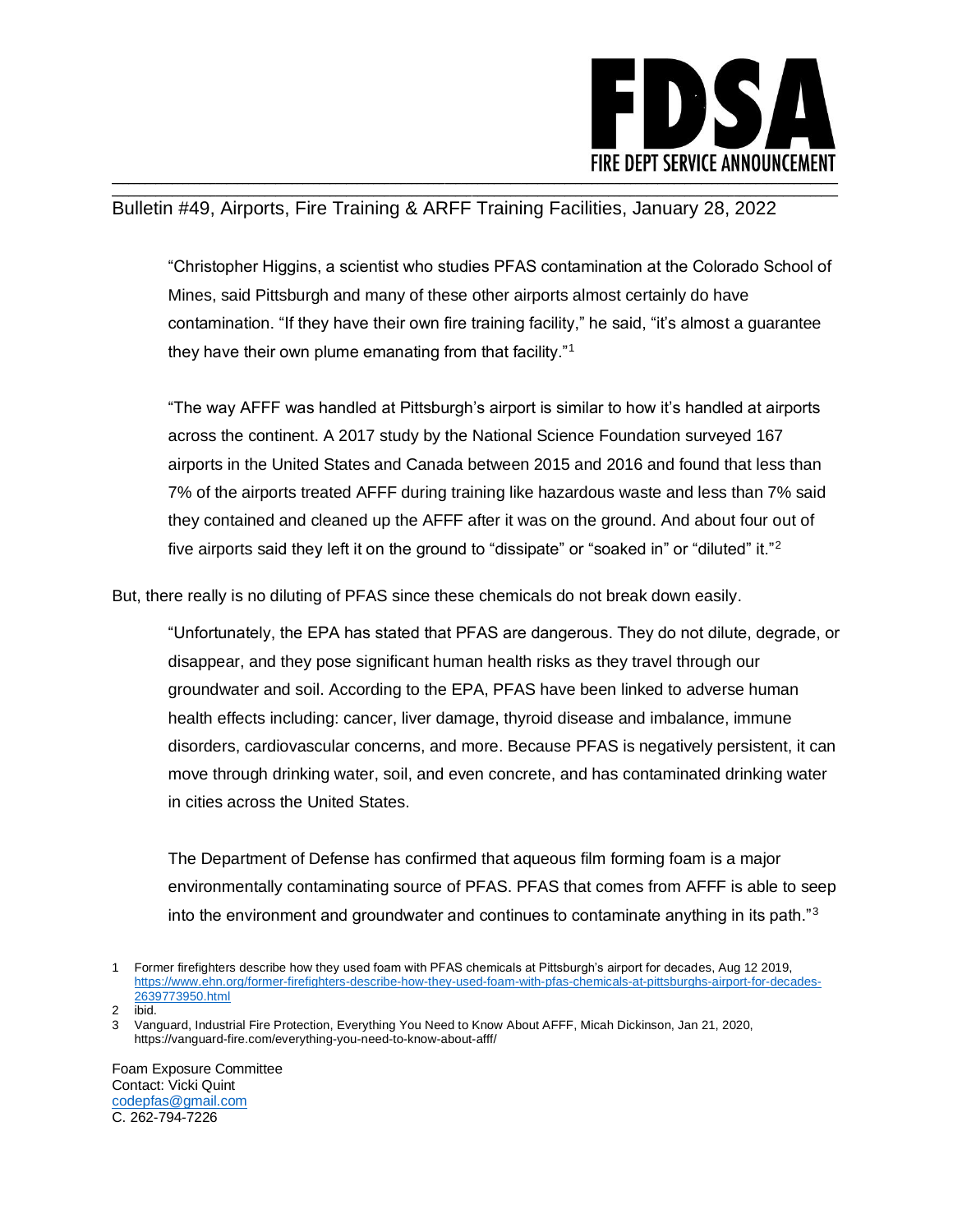

## \_\_\_\_\_\_\_\_\_\_\_\_\_\_\_\_\_\_\_\_\_\_\_\_\_\_\_\_\_\_\_\_\_\_\_\_\_\_\_\_\_\_\_\_\_\_\_\_\_\_\_\_\_\_\_\_\_\_\_\_\_\_\_\_\_\_\_\_\_\_\_\_\_\_\_\_\_\_\_\_\_\_\_\_\_\_\_\_\_\_\_\_\_\_\_\_\_\_\_\_\_\_\_\_\_\_\_\_\_\_\_\_\_\_\_\_\_\_\_\_\_\_\_\_\_\_\_\_\_\_\_\_\_ Bulletin #49, Airports, Fire Training & ARFF Training Facilities, January 28, 2022

"Christopher Higgins, a scientist who studies PFAS contamination at the Colorado School of Mines, said Pittsburgh and many of these other airports almost certainly do have contamination. "If they have their own fire training facility," he said, "it's almost a guarantee they have their own plume emanating from that facility."<sup>1</sup>

"The way AFFF was handled at Pittsburgh's airport is similar to how it's handled at airports across the continent. A 2017 study by the National Science Foundation surveyed 167 airports in the United States and Canada between 2015 and 2016 and found that less than 7% of the airports treated AFFF during training like hazardous waste and less than 7% said they contained and cleaned up the AFFF after it was on the ground. And about four out of five airports said they left it on the ground to "dissipate" or "soaked in" or "diluted" it."<sup>2</sup>

But, there really is no diluting of PFAS since these chemicals do not break down easily.

"Unfortunately, the EPA has stated that PFAS are dangerous. They do not dilute, degrade, or disappear, and they pose significant human health risks as they travel through our groundwater and soil. According to the EPA, PFAS have been linked to adverse human health effects including: cancer, liver damage, thyroid disease and imbalance, immune disorders, cardiovascular concerns, and more. Because PFAS is negatively persistent, it can move through drinking water, soil, and even concrete, and has contaminated drinking water in cities across the United States.

The Department of Defense has confirmed that aqueous film forming foam is a major environmentally contaminating source of PFAS. PFAS that comes from AFFF is able to seep into the environment and groundwater and continues to contaminate anything in its path. $3<sup>3</sup>$ 

Foam Exposure Committee Contact: Vicki Quint [codepfas@gmail.com](mailto:codepfas@gmail.com) C. 262-794-7226

<sup>1</sup> Former firefighters describe how they used foam with PFAS chemicals at Pittsburgh's airport for decades, Aug 12 2019, [https://www.ehn.org/former-firefighters-describe-how-they-used-foam-with-pfas-chemicals-at-pittsburghs-airport-for-decades-](https://www.ehn.org/former-firefighters-describe-how-they-used-foam-with-pfas-chemicals-at-pittsburghs-airport-for-decades-2639773950.html)[2639773950.html](https://www.ehn.org/former-firefighters-describe-how-they-used-foam-with-pfas-chemicals-at-pittsburghs-airport-for-decades-2639773950.html)

ibid.

<sup>3</sup> Vanguard, Industrial Fire Protection, Everything You Need to Know About AFFF, Micah Dickinson, Jan 21, 2020, https://vanguard-fire.com/everything-you-need-to-know-about-afff/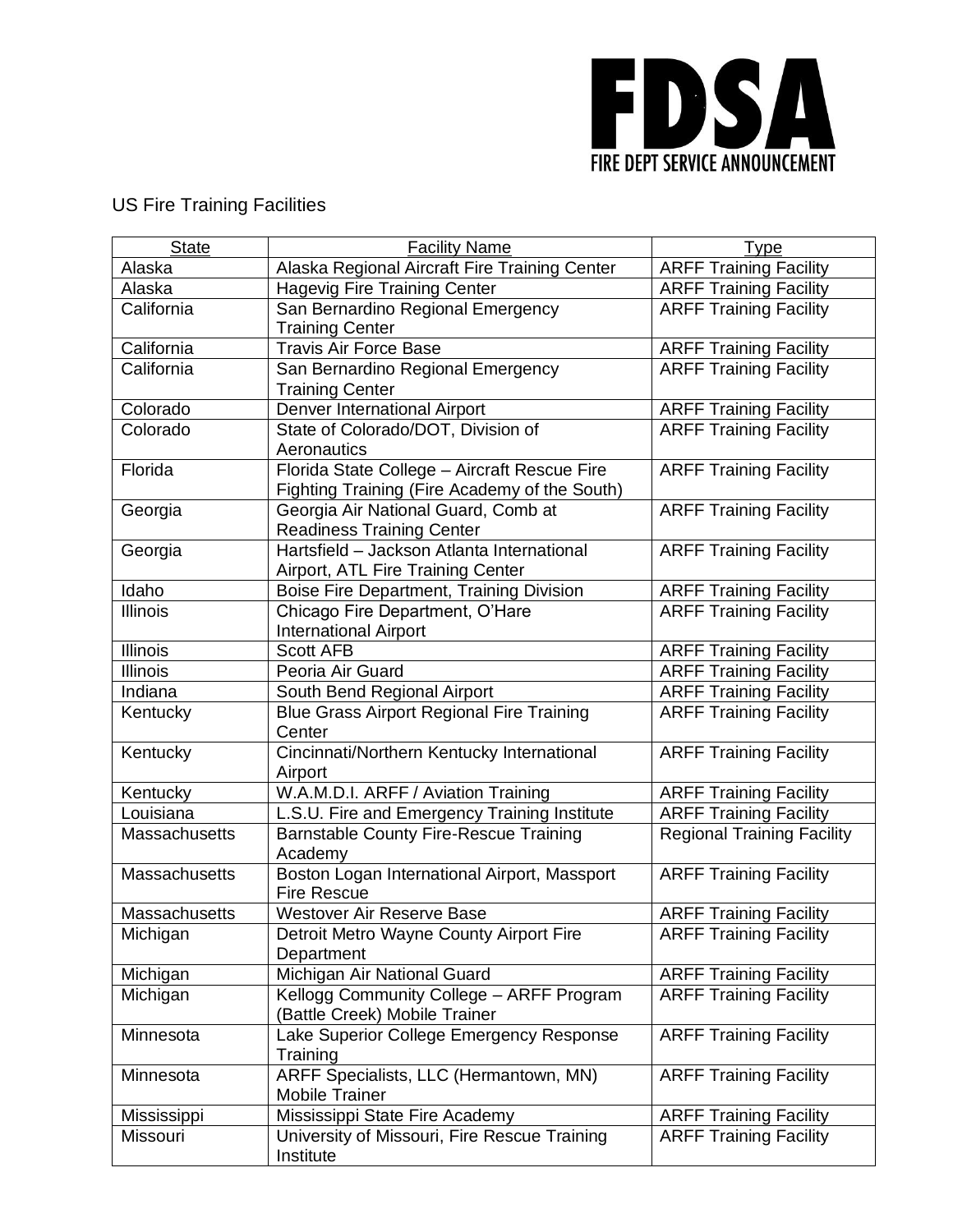

## US Fire Training Facilities

| <b>State</b>    | <b>Facility Name</b>                                                                          | Type                              |
|-----------------|-----------------------------------------------------------------------------------------------|-----------------------------------|
| Alaska          | Alaska Regional Aircraft Fire Training Center                                                 | <b>ARFF Training Facility</b>     |
| Alaska          | <b>Hagevig Fire Training Center</b>                                                           | <b>ARFF Training Facility</b>     |
| California      | San Bernardino Regional Emergency<br><b>Training Center</b>                                   | <b>ARFF Training Facility</b>     |
| California      | <b>Travis Air Force Base</b>                                                                  | <b>ARFF Training Facility</b>     |
| California      | San Bernardino Regional Emergency<br><b>Training Center</b>                                   | <b>ARFF Training Facility</b>     |
| Colorado        | Denver International Airport                                                                  | <b>ARFF Training Facility</b>     |
| Colorado        | State of Colorado/DOT, Division of<br>Aeronautics                                             | <b>ARFF Training Facility</b>     |
| Florida         | Florida State College - Aircraft Rescue Fire<br>Fighting Training (Fire Academy of the South) | <b>ARFF Training Facility</b>     |
| Georgia         | Georgia Air National Guard, Comb at<br><b>Readiness Training Center</b>                       | <b>ARFF Training Facility</b>     |
| Georgia         | Hartsfield - Jackson Atlanta International<br>Airport, ATL Fire Training Center               | <b>ARFF Training Facility</b>     |
| Idaho           | <b>Boise Fire Department, Training Division</b>                                               | <b>ARFF Training Facility</b>     |
| <b>Illinois</b> | Chicago Fire Department, O'Hare<br><b>International Airport</b>                               | <b>ARFF Training Facility</b>     |
| Illinois        | <b>Scott AFB</b>                                                                              | <b>ARFF Training Facility</b>     |
| <b>Illinois</b> | Peoria Air Guard                                                                              | <b>ARFF Training Facility</b>     |
| Indiana         | South Bend Regional Airport                                                                   | <b>ARFF Training Facility</b>     |
| Kentucky        | <b>Blue Grass Airport Regional Fire Training</b><br>Center                                    | <b>ARFF Training Facility</b>     |
| Kentucky        | Cincinnati/Northern Kentucky International<br>Airport                                         | <b>ARFF Training Facility</b>     |
| Kentucky        | W.A.M.D.I. ARFF / Aviation Training                                                           | <b>ARFF Training Facility</b>     |
| Louisiana       | L.S.U. Fire and Emergency Training Institute                                                  | <b>ARFF Training Facility</b>     |
| Massachusetts   | <b>Barnstable County Fire-Rescue Training</b><br>Academy                                      | <b>Regional Training Facility</b> |
| Massachusetts   | Boston Logan International Airport, Massport<br><b>Fire Rescue</b>                            | <b>ARFF Training Facility</b>     |
| Massachusetts   | Westover Air Reserve Base                                                                     | <b>ARFF Training Facility</b>     |
| Michigan        | Detroit Metro Wayne County Airport Fire<br>Department                                         | <b>ARFF Training Facility</b>     |
| Michigan        | Michigan Air National Guard                                                                   | <b>ARFF Training Facility</b>     |
| Michigan        | Kellogg Community College - ARFF Program<br>(Battle Creek) Mobile Trainer                     | <b>ARFF Training Facility</b>     |
| Minnesota       | Lake Superior College Emergency Response<br>Training                                          | <b>ARFF Training Facility</b>     |
| Minnesota       | ARFF Specialists, LLC (Hermantown, MN)<br><b>Mobile Trainer</b>                               | <b>ARFF Training Facility</b>     |
| Mississippi     | Mississippi State Fire Academy                                                                | <b>ARFF Training Facility</b>     |
| Missouri        | University of Missouri, Fire Rescue Training<br>Institute                                     | <b>ARFF Training Facility</b>     |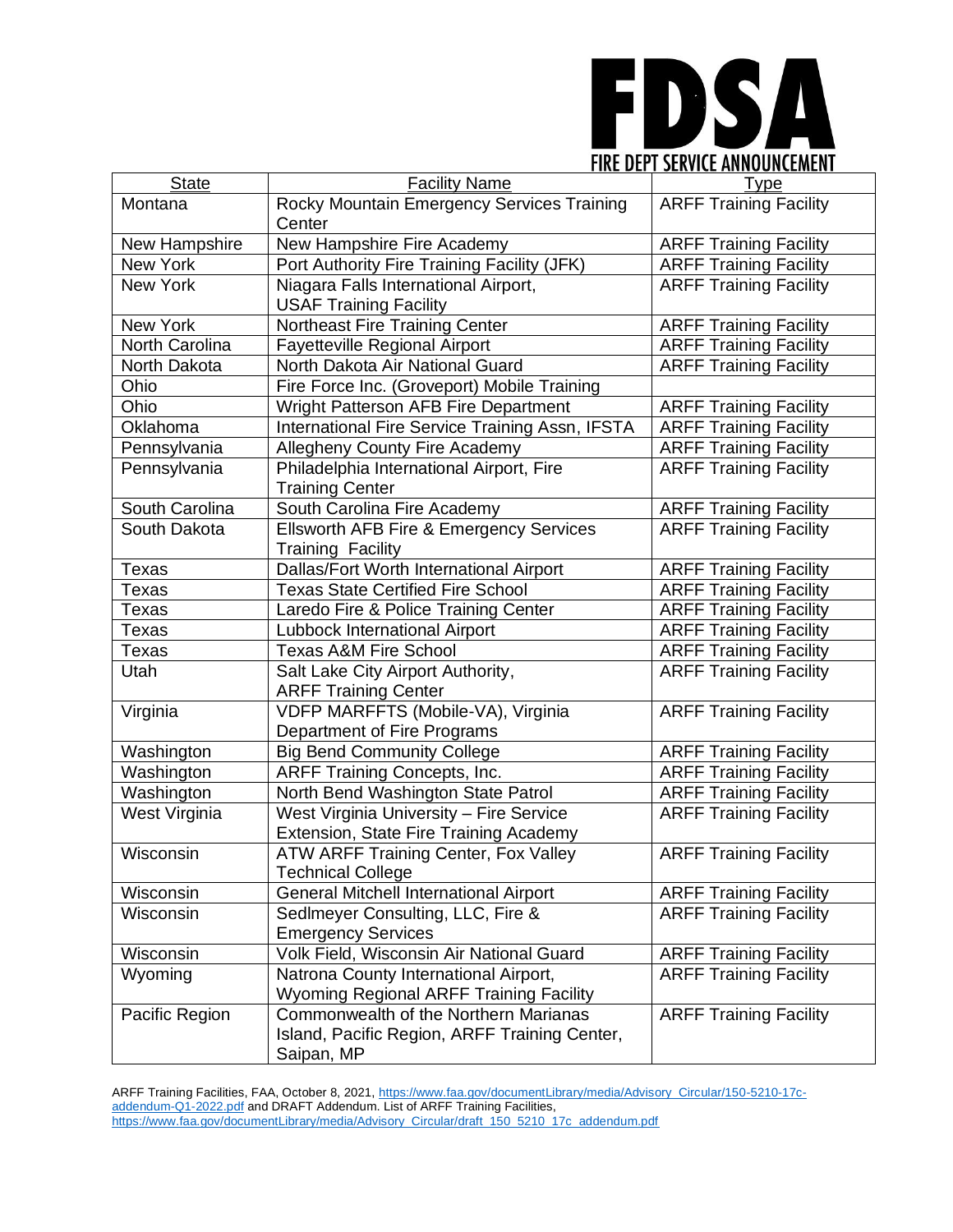

| <b>State</b>     | <b>Facility Name</b>                            | <b>Type</b>                   |
|------------------|-------------------------------------------------|-------------------------------|
| Montana          | Rocky Mountain Emergency Services Training      | <b>ARFF Training Facility</b> |
|                  | Center                                          |                               |
| New Hampshire    | New Hampshire Fire Academy                      | <b>ARFF Training Facility</b> |
| New York         | Port Authority Fire Training Facility (JFK)     | <b>ARFF Training Facility</b> |
| New York         | Niagara Falls International Airport,            | <b>ARFF Training Facility</b> |
|                  | <b>USAF Training Facility</b>                   |                               |
| New York         | Northeast Fire Training Center                  | <b>ARFF Training Facility</b> |
| North Carolina   | Fayetteville Regional Airport                   | <b>ARFF Training Facility</b> |
| North Dakota     | North Dakota Air National Guard                 | <b>ARFF Training Facility</b> |
| Ohio             | Fire Force Inc. (Groveport) Mobile Training     |                               |
| Ohio             | Wright Patterson AFB Fire Department            | <b>ARFF Training Facility</b> |
| Oklahoma         | International Fire Service Training Assn, IFSTA | <b>ARFF Training Facility</b> |
| Pennsylvania     | Allegheny County Fire Academy                   | <b>ARFF Training Facility</b> |
| Pennsylvania     | Philadelphia International Airport, Fire        | <b>ARFF Training Facility</b> |
|                  | <b>Training Center</b>                          |                               |
| South Carolina   | South Carolina Fire Academy                     | <b>ARFF Training Facility</b> |
| South Dakota     | Ellsworth AFB Fire & Emergency Services         | <b>ARFF Training Facility</b> |
|                  | <b>Training Facility</b>                        |                               |
| Texas            | Dallas/Fort Worth International Airport         | <b>ARFF Training Facility</b> |
| Texas            | <b>Texas State Certified Fire School</b>        | <b>ARFF Training Facility</b> |
| Texas            | Laredo Fire & Police Training Center            | <b>ARFF Training Facility</b> |
| Texas            | Lubbock International Airport                   | <b>ARFF Training Facility</b> |
| Texas            | <b>Texas A&amp;M Fire School</b>                | <b>ARFF Training Facility</b> |
| Utah             | Salt Lake City Airport Authority,               | <b>ARFF Training Facility</b> |
|                  | <b>ARFF Training Center</b>                     |                               |
| Virginia         | VDFP MARFFTS (Mobile-VA), Virginia              | <b>ARFF Training Facility</b> |
|                  | Department of Fire Programs                     |                               |
| Washington       | <b>Big Bend Community College</b>               | <b>ARFF Training Facility</b> |
| Washington       | ARFF Training Concepts, Inc.                    | <b>ARFF Training Facility</b> |
| Washington       | North Bend Washington State Patrol              | <b>ARFF Training Facility</b> |
| West Virginia    | West Virginia University - Fire Service         | <b>ARFF Training Facility</b> |
|                  | Extension, State Fire Training Academy          |                               |
| Wisconsin        | ATW ARFF Training Center, Fox Valley            | <b>ARFF Training Facility</b> |
|                  | echnical College                                |                               |
| Wisconsin        | General Mitchell International Airport          | <b>ARFF Training Facility</b> |
| <b>Wisconsin</b> | Sedlmeyer Consulting, LLC, Fire &               | <b>ARFF Training Facility</b> |
|                  | <b>Emergency Services</b>                       |                               |
| Wisconsin        | Volk Field, Wisconsin Air National Guard        | <b>ARFF Training Facility</b> |
| Wyoming          | Natrona County International Airport,           | <b>ARFF Training Facility</b> |
|                  | <b>Wyoming Regional ARFF Training Facility</b>  |                               |
| Pacific Region   | Commonwealth of the Northern Marianas           | <b>ARFF Training Facility</b> |
|                  | Island, Pacific Region, ARFF Training Center,   |                               |
|                  | Saipan, MP                                      |                               |

ARFF Training Facilities, FAA, October 8, 2021[, https://www.faa.gov/documentLibrary/media/Advisory\\_Circular/150-5210-17c](https://www.faa.gov/documentLibrary/media/Advisory_Circular/150-5210-17c-addendum-Q1-2022.pdf)[addendum-Q1-2022.pdf](https://www.faa.gov/documentLibrary/media/Advisory_Circular/150-5210-17c-addendum-Q1-2022.pdf) and DRAFT Addendum. List of ARFF Training Facilities, [https://www.faa.gov/documentLibrary/media/Advisory\\_Circular/draft\\_150\\_5210\\_17c\\_addendum.pdf](https://www.faa.gov/documentLibrary/media/Advisory_Circular/draft_150_5210_17c_addendum.pdf)